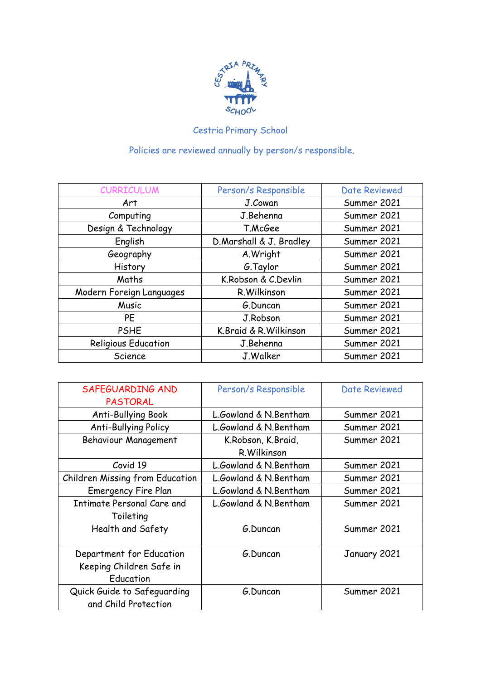

## Cestria Primary School

Policies are reviewed annually by person/s responsible.

| <b>CURRICULUM</b>          | Person/s Responsible    | <b>Date Reviewed</b> |
|----------------------------|-------------------------|----------------------|
| Art                        | J.Cowan                 | Summer 2021          |
| Computing                  | J.Behenna               | Summer 2021          |
| Design & Technology        | T.McGee                 | Summer 2021          |
| English                    | D.Marshall & J. Bradley | Summer 2021          |
| Geography                  | A.Wright                | Summer 2021          |
| History                    | G.Taylor                | Summer 2021          |
| Maths                      | K.Robson & C.Devlin     | Summer 2021          |
| Modern Foreign Languages   | R. Wilkinson            | Summer 2021          |
| Music                      | G.Duncan                | Summer 2021          |
| PE                         | J.Robson                | Summer 2021          |
| <b>PSHE</b>                | K.Braid & R.Wilkinson   | Summer 2021          |
| <b>Religious Education</b> | J.Behenna               | Summer 2021          |
| Science                    | J.Walker                | Summer 2021          |

| SAFEGUARDING AND                | Person/s Responsible  | <b>Date Reviewed</b> |
|---------------------------------|-----------------------|----------------------|
| <b>PASTORAL</b>                 |                       |                      |
| Anti-Bullying Book              | L.Gowland & N.Bentham | Summer 2021          |
| <b>Anti-Bullying Policy</b>     | L.Gowland & N.Bentham | Summer 2021          |
| <b>Behaviour Management</b>     | K.Robson, K.Braid,    | Summer 2021          |
|                                 | R. Wilkinson          |                      |
| Covid 19                        | L.Gowland & N.Bentham | Summer 2021          |
| Children Missing from Education | L.Gowland & N.Bentham | Summer 2021          |
| <b>Emergency Fire Plan</b>      | L.Gowland & N.Bentham | Summer 2021          |
| Intimate Personal Care and      | L.Gowland & N.Bentham | Summer 2021          |
| Toileting                       |                       |                      |
| Health and Safety               | G.Duncan              | Summer 2021          |
|                                 |                       |                      |
| Department for Education        | G.Duncan              | January 2021         |
| Keeping Children Safe in        |                       |                      |
| Education                       |                       |                      |
| Quick Guide to Safeguarding     | G.Duncan              | Summer 2021          |
| and Child Protection            |                       |                      |
|                                 |                       |                      |